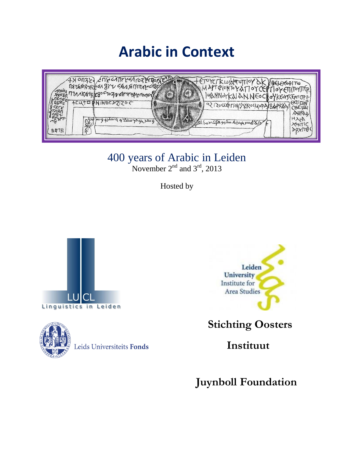# **Arabic in Context**



400 years of Arabic in Leiden

November  $2<sup>nd</sup>$  and  $3<sup>rd</sup>$ , 2013

Hosted by





Leids Universiteits Fonds



 **Stichting Oosters** 

 **Instituut**

**Juynboll Foundation**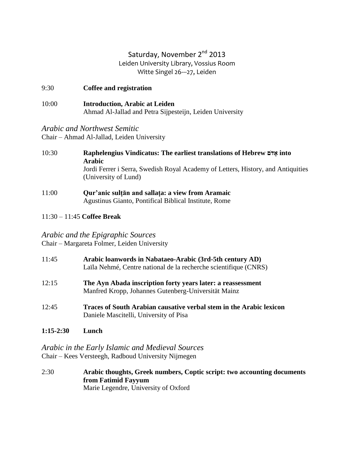## Saturday, November 2<sup>nd</sup> 2013 Leiden University Library, Vossius Room Witte Singel 26---27, Leiden

| 9:30  | Coffee and registration                                                                           |
|-------|---------------------------------------------------------------------------------------------------|
| 10:00 | <b>Introduction, Arabic at Leiden</b><br>Ahmad Al-Jallad and Petra Sijpesteijn, Leiden University |

## *Arabic and Northwest Semitic*

Chair – Ahmad Al-Jallad, Leiden University

- 10:30 **Raphelengius Vindicatus: The earliest translations of Hebrew םֺאדָ into Arabic** Jordi Ferrer i Serra, Swedish Royal Academy of Letters, History, and Antiquities (University of Lund)
- 11:00 **Qur'anic sulṭān and sallaṭa: a view from Aramaic** Agustinus Gianto, Pontifical Biblical Institute, Rome

## 11:30 – 11:45 **Coffee Break**

*Arabic and the Epigraphic Sources* Chair – Margareta Folmer, Leiden University

| 11:45 | Arabic loanwords in Nabataeo-Arabic (3rd-5th century AD)<br>Laïla Nehmé, Centre national de la recherche scientifique (CNRS) |
|-------|------------------------------------------------------------------------------------------------------------------------------|
| 12:15 | The Ayn Abada inscription forty years later: a reassessment<br>Manfred Kropp, Johannes Gutenberg-Universität Mainz           |
| 12:45 | Traces of South Arabian causative verbal stem in the Arabic lexicon<br>Daniele Mascitelli, University of Pisa                |

**1:15-2:30 Lunch**

*Arabic in the Early Islamic and Medieval Sources* Chair – Kees Versteegh, Radboud University Nijmegen

2:30 **Arabic thoughts, Greek numbers, Coptic script: two accounting documents from Fatimid Fayyum** Marie Legendre, University of Oxford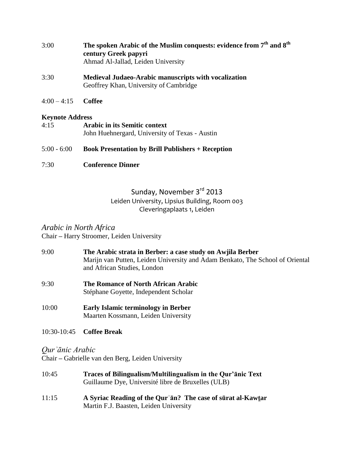| 3:00 | The spoken Arabic of the Muslim conquests: evidence from 7 <sup>th</sup> and 8 <sup>th</sup> |
|------|----------------------------------------------------------------------------------------------|
|      | century Greek papyri                                                                         |
|      | Ahmad Al-Jallad, Leiden University                                                           |
|      |                                                                                              |

- 3:30 **Medieval Judaeo-Arabic manuscripts with vocalization** Geoffrey Khan, University of Cambridge
- 4:00 4:15 **Coffee**

#### **Keynote Address**

| 4:15 | <b>Arabic in its Semitic context</b>           |
|------|------------------------------------------------|
|      | John Huehnergard, University of Texas - Austin |
|      |                                                |

### 5:00 - 6:00 **Book Presentation by Brill Publishers + Reception**

7:30 **Conference Dinner**

# Sunday, November 3rd 2013 Leiden University, Lipsius Building, Room 003 Cleveringaplaats 1, Leiden

## *Arabic in North Africa* Chair **–** Harry Stroomer, Leiden University

- 9:00 **The Arabic strata in Berber: a case study on Awjila Berber** Marijn van Putten, Leiden University and Adam Benkato, The School of Oriental and African Studies, London
- 9:30 **The Romance of North African Arabic** Stéphane Goyette, Independent Scholar
- 10:00 **Early Islamic terminology in Berber** Maarten Kossmann, Leiden University
- 10:30-10:45 **Coffee Break**

## *Qurʾānic Arabic*

Chair **–** Gabrielle van den Berg, Leiden University

- 10:45 **Traces of Bilingualism/Multilingualism in the Qur'ānic Text** Guillaume Dye, Université libre de Bruxelles (ULB)
- 11:15 **A Syriac Reading of the Qurʾān? The case of sūrat al-Kawṯar** Martin F.J. Baasten, Leiden University